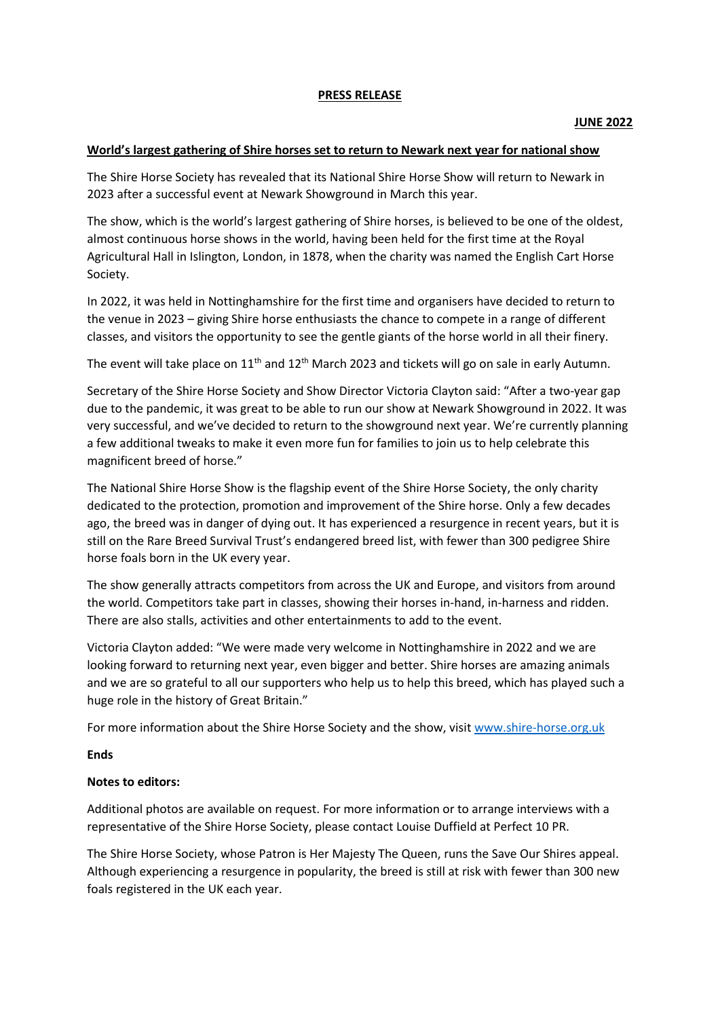#### **PRESS RELEASE**

#### **JUNE 2022**

### **World's largest gathering of Shire horses set to return to Newark next year for national show**

The Shire Horse Society has revealed that its National Shire Horse Show will return to Newark in 2023 after a successful event at Newark Showground in March this year.

The show, which is the world's largest gathering of Shire horses, is believed to be one of the oldest, almost continuous horse shows in the world, having been held for the first time at the Royal Agricultural Hall in Islington, London, in 1878, when the charity was named the English Cart Horse Society.

In 2022, it was held in Nottinghamshire for the first time and organisers have decided to return to the venue in 2023 – giving Shire horse enthusiasts the chance to compete in a range of different classes, and visitors the opportunity to see the gentle giants of the horse world in all their finery.

The event will take place on  $11<sup>th</sup>$  and  $12<sup>th</sup>$  March 2023 and tickets will go on sale in early Autumn.

Secretary of the Shire Horse Society and Show Director Victoria Clayton said: "After a two-year gap due to the pandemic, it was great to be able to run our show at Newark Showground in 2022. It was very successful, and we've decided to return to the showground next year. We're currently planning a few additional tweaks to make it even more fun for families to join us to help celebrate this magnificent breed of horse."

The National Shire Horse Show is the flagship event of the Shire Horse Society, the only charity dedicated to the protection, promotion and improvement of the Shire horse. Only a few decades ago, the breed was in danger of dying out. It has experienced a resurgence in recent years, but it is still on the Rare Breed Survival Trust's endangered breed list, with fewer than 300 pedigree Shire horse foals born in the UK every year.

The show generally attracts competitors from across the UK and Europe, and visitors from around the world. Competitors take part in classes, showing their horses in-hand, in-harness and ridden. There are also stalls, activities and other entertainments to add to the event.

Victoria Clayton added: "We were made very welcome in Nottinghamshire in 2022 and we are looking forward to returning next year, even bigger and better. Shire horses are amazing animals and we are so grateful to all our supporters who help us to help this breed, which has played such a huge role in the history of Great Britain."

For more information about the Shire Horse Society and the show, visit [www.shire-horse.org.uk](http://www.shire-horse.org.uk/)

# **Ends**

# **Notes to editors:**

Additional photos are available on request. For more information or to arrange interviews with a representative of the Shire Horse Society, please contact Louise Duffield at Perfect 10 PR.

The Shire Horse Society, whose Patron is Her Majesty The Queen, runs the Save Our Shires appeal. Although experiencing a resurgence in popularity, the breed is still at risk with fewer than 300 new foals registered in the UK each year.